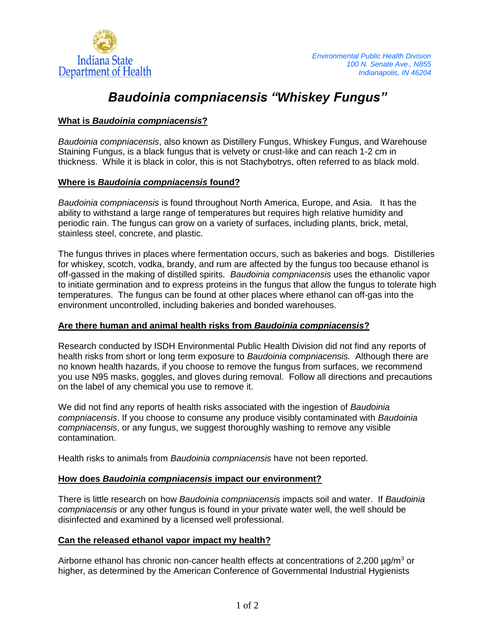

# *Baudoinia compniacensis "Whiskey Fungus"*

## **What is** *Baudoinia compniacensis***?**

*Baudoinia compniacensis*, also known as Distillery Fungus, Whiskey Fungus, and Warehouse Staining Fungus, is a black fungus that is velvety or crust-like and can reach 1-2 cm in thickness. While it is black in color, this is not Stachybotrys, often referred to as black mold.

### **Where is** *Baudoinia compniacensis* **found?**

*Baudoinia compniacensis* is found throughout North America, Europe, and Asia. It has the ability to withstand a large range of temperatures but requires high relative humidity and periodic rain. The fungus can grow on a variety of surfaces, including plants, brick, metal, stainless steel, concrete, and plastic.

The fungus thrives in places where fermentation occurs, such as bakeries and bogs. Distilleries for whiskey, scotch, vodka, brandy, and rum are affected by the fungus too because ethanol is off-gassed in the making of distilled spirits. *Baudoinia compniacensis* uses the ethanolic vapor to initiate germination and to express proteins in the fungus that allow the fungus to tolerate high temperatures. The fungus can be found at other places where ethanol can off-gas into the environment uncontrolled, including bakeries and bonded warehouses.

### **Are there human and animal health risks from** *Baudoinia compniacensis***?**

Research conducted by ISDH Environmental Public Health Division did not find any reports of health risks from short or long term exposure to *Baudoinia compniacensis.* Although there are no known health hazards, if you choose to remove the fungus from surfaces, we recommend you use N95 masks, goggles, and gloves during removal. Follow all directions and precautions on the label of any chemical you use to remove it.

We did not find any reports of health risks associated with the ingestion of *Baudoinia compniacensis*. If you choose to consume any produce visibly contaminated with *Baudoinia compniacensis*, or any fungus, we suggest thoroughly washing to remove any visible contamination.

Health risks to animals from *Baudoinia compniacensis* have not been reported.

### **How does** *Baudoinia compniacensis* **impact our environment?**

There is little research on how *Baudoinia compniacensis* impacts soil and water. If *Baudoinia compniacensis* or any other fungus is found in your private water well, the well should be disinfected and examined by a licensed well professional.

### **Can the released ethanol vapor impact my health?**

Airborne ethanol has chronic non-cancer health effects at concentrations of 2,200  $\mu q/m^3$  or higher, as determined by the American Conference of Governmental Industrial Hygienists